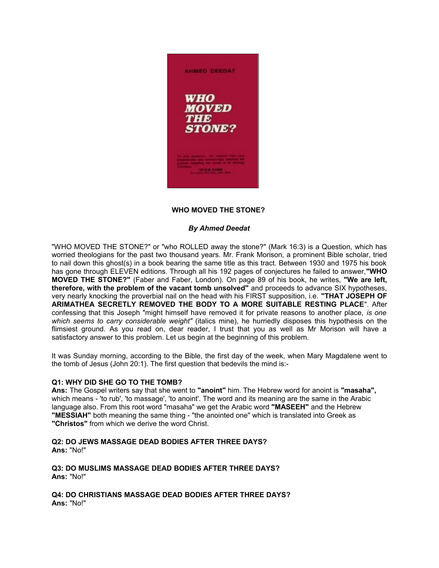

# **WHO MOVED THE STONE?**

## *By Ahmed Deedat*

"WHO MOVED THE STONE?" or "who ROLLED away the stone?" (Mark 16:3) is a Question, which has worried theologians for the past two thousand years. Mr. Frank Morison, a prominent Bible scholar, tried to nail down this ghost(s) in a book bearing the same title as this tract. Between 1930 and 1975 his book has gone through ELEVEN editions. Through all his 192 pages of conjectures he failed to answer,**"WHO MOVED THE STONE?"** (Faber and Faber, London). On page 89 of his book, he writes, **"We are left, therefore, with the problem of the vacant tomb unsolved"** and proceeds to advance SIX hypotheses, very nearly knocking the proverbial nail on the head with his FIRST supposition, i.e. **"THAT JOSEPH OF ARIMATHEA SECRETLY REMOVED THE BODY TO A MORE SUITABLE RESTING PLACE**". After confessing that this Joseph "might himself have removed it for private reasons to another place, *is one which seems to carry considerable weight"* (italics mine), he hurriedly disposes this hypothesis on the flimsiest ground. As you read on, dear reader, I trust that you as well as Mr Morison will have a satisfactory answer to this problem. Let us begin at the beginning of this problem.

It was Sunday morning, according to the Bible, the first day of the week, when Mary Magdalene went to the tomb of Jesus (John 20:1). The first question that bedevils the mind is:-

## **Q1: WHY DID SHE GO TO THE TOMB?**

**Ans:** The Gospel writers say that she went to **"anoint"** him. The Hebrew word for anoint is **"masaha",** which means - 'to rub', 'to massage', 'to anoint'. The word and its meaning are the same in the Arabic language also. From this root word "masaha" we get the Arabic word **"MASEEH"** and the Hebrew **"MESSIAH"** both meaning the same thing - "the anointed one" which is translated into Greek as **"Christos"** from which we derive the word Christ.

#### **Q2: DO JEWS MASSAGE DEAD BODIES AFTER THREE DAYS? Ans:** "No!"

**Q3: DO MUSLIMS MASSAGE DEAD BODIES AFTER THREE DAYS? Ans:** "No!"

**Q4: DO CHRISTIANS MASSAGE DEAD BODIES AFTER THREE DAYS? Ans:** "No!"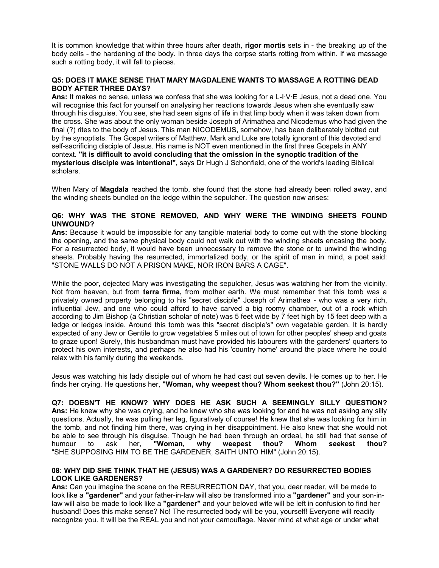It is common knowledge that within three hours after death, **rigor mortis** sets in - the breaking up of the body cells - the hardening of the body. In three days the corpse starts rotting from within. If we massage such a rotting body, it will fall to pieces.

## **Q5: DOES IT MAKE SENSE THAT MARY MAGDALENE WANTS TO MASSAGE A ROTTING DEAD BODY AFTER THREE DAYS?**

**Ans:** It makes no sense, unless we confess that she was looking for a L-I·V·E Jesus, not a dead one. You will recognise this fact for yourself on analysing her reactions towards Jesus when she eventually saw through his disguise. You see, she had seen signs of life in that limp body when it was taken down from the cross. She was about the only woman beside Joseph of Arimathea and Nicodemus who had given the final (?) rites to the body of Jesus. This man NICODEMUS, somehow, has been deliberately blotted out by the synoptists. The Gospel writers of Matthew, Mark and Luke are totally ignorant of this devoted and self-sacrificing disciple of Jesus. His name is NOT even mentioned in the first three Gospels in ANY context. **"it is difficult to avoid concluding that the omission in the synoptic tradition of the mysterious disciple was intentional",** says Dr Hugh J Schonfield, one of the world's leading Biblical scholars.

When Mary of **Magdala** reached the tomb, she found that the stone had already been rolled away, and the winding sheets bundled on the ledge within the sepulcher. The question now arises:

## **Q6: WHY WAS THE STONE REMOVED, AND WHY WERE THE WINDING SHEETS FOUND UNWOUND?**

**Ans:** Because it would be impossible for any tangible material body to come out with the stone blocking the opening, and the same physical body could not walk out with the winding sheets encasing the body. For a resurrected body, it would have been unnecessary to remove the stone or to unwind the winding sheets. Probably having the resurrected, immortalized body, or the spirit of man in mind, a poet said: "STONE WALLS DO NOT A PRISON MAKE, NOR IRON BARS A CAGE".

While the poor, dejected Mary was investigating the sepulcher, Jesus was watching her from the vicinity. Not from heaven, but from **terra firma,** from mother earth. We must remember that this tomb was a privately owned property belonging to his "secret disciple" Joseph of Arimathea - who was a very rich, influential Jew, and one who could afford to have carved a big roomy chamber, out of a rock which according to Jim Bishop (a Christian scholar of note) was 5 feet wide by 7 feet high by 15 feet deep with a ledge or ledges inside. Around this tomb was this "secret disciple's" own vegetable garden. It is hardly expected of any Jew or Gentile to grow vegetables 5 miles out of town for other peoples' sheep and goats to graze upon! Surely, this husbandman must have provided his labourers with the gardeners' quarters to protect his own interests, and perhaps he also had his 'country home' around the place where he could relax with his family during the weekends.

Jesus was watching his lady disciple out of whom he had cast out seven devils. He comes up to her. He finds her crying. He questions her, **"Woman, why weepest thou? Whom seekest thou?"** (John 20:15).

**Q7: DOESN'T HE KNOW? WHY DOES HE ASK SUCH A SEEMINGLY SILLY QUESTION? Ans:** He knew why she was crying, and he knew who she was looking for and he was not asking any silly questions. Actually, he was pulling her leg, figuratively of course! He knew that she was looking for him in the tomb, and not finding him there, was crying in her disappointment. He also knew that she would not be able to see through his disguise. Though he had been through an ordeal, he still had that sense of humour to ask her, "Woman, why weepest thou? Whom seekest thou? humour to ask her, **"Woman, why weepest thou? Whom seekest thou?** "SHE SUPPOSING HIM TO BE THE GARDENER, SAITH UNTO HIM" (John 20:15).

## **08: WHY DID SHE THINK THAT HE (JESUS) WAS A GARDENER? DO RESURRECTED BODIES LOOK LIKE GARDENERS?**

**Ans:** Can you imagine the scene on the RESURRECTION DAY, that you, dear reader, will be made to look like a **"gardener"** and your father-in-law will also be transformed into a **"gardener"** and your son-inlaw will also be made to look like a **"gardener"** and your beloved wife will be left in confusion to find her husband! Does this make sense? No! The resurrected body will be you, yourself! Everyone will readily recognize you. It will be the REAL you and not your camouflage. Never mind at what age or under what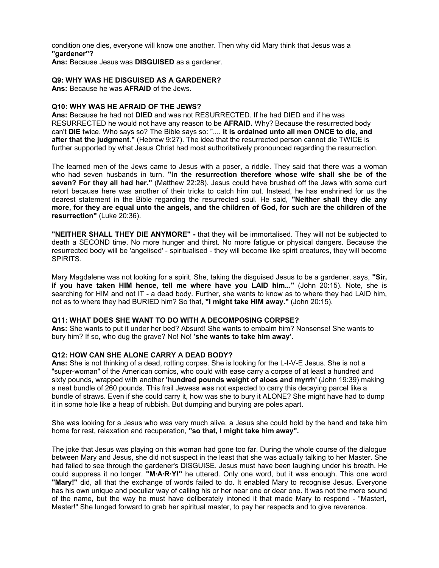condition one dies, everyone will know one another. Then why did Mary think that Jesus was a **"gardener"? Ans:** Because Jesus was **DISGUISED** as a gardener.

# **Q9: WHY WAS HE DISGUISED AS A GARDENER?**

**Ans:** Because he was **AFRAID** of the Jews.

## **Q10: WHY WAS HE AFRAID OF THE JEWS?**

**Ans:** Because he had not **DIED** and was not RESURRECTED. If he had DIED and if he was RESURRECTED he would not have any reason to be **AFRAID.** Why? Because the resurrected body can't **DIE** twice. Who says so? The Bible says so: ".... **it is ordained unto all men ONCE to die, and after that the judgment."** (Hebrew 9:27). The idea that the resurrected person cannot die TWICE is further supported by what Jesus Christ had most authoritatively pronounced regarding the resurrection.

The learned men of the Jews came to Jesus with a poser, a riddle. They said that there was a woman who had seven husbands in turn. **"in the resurrection therefore whose wife shall she be of the seven? For they all had her."** (Matthew 22:28). Jesus could have brushed off the Jews with some curt retort because here was another of their tricks to catch him out. Instead, he has enshrined for us the dearest statement in the Bible regarding the resurrected soul. He said, **"Neither shall they die any** more, for they are equal unto the angels, and the children of God, for such are the children of the **resurrection"** (Luke 20:36).

**"NEITHER SHALL THEY DIE ANYMORE" -** that they will be immortalised. They will not be subjected to death a SECOND time. No more hunger and thirst. No more fatigue or physical dangers. Because the resurrected body will be 'angelised' - spiritualised - they will become like spirit creatures, they will become SPIRITS.

Mary Magdalene was not looking for a spirit. She, taking the disguised Jesus to be a gardener, says, **"Sir, if you have taken HIM hence, tell me where have you LAID him..."** (John 20:15). Note, she is searching for HIM and not IT - a dead body. Further, she wants to know as to where they had LAID him, not as to where they had BURIED him? So that, **"I might take HIM away."** (John 20:15).

## **Q11: WHAT DOES SHE WANT TO DO WITH A DECOMPOSING CORPSE?**

**Ans:** She wants to put it under her bed? Absurd! She wants to embalm him? Nonsense! She wants to bury him? If so, who dug the grave? No! No! **'she wants to take him away'.**

# **Q12: HOW CAN SHE ALONE CARRY A DEAD BODY?**

**Ans:** She is not thinking of a dead, rotting corpse. She is looking for the L-I-V-E Jesus. She is not a "super-woman" of the American comics, who could with ease carry a corpse of at least a hundred and sixty pounds, wrapped with another **'hundred pounds weight of aloes and myrrh'** (John 19:39) making a neat bundle of 260 pounds. This frail Jewess was not expected to carry this decaying parcel like a bundle of straws. Even if she could carry it, how was she to bury it ALONE? She might have had to dump it in some hole like a heap of rubbish. But dumping and burying are poles apart.

She was looking for a Jesus who was very much alive, a Jesus she could hold by the hand and take him home for rest, relaxation and recuperation, **"so that, I might take him away".**

The joke that Jesus was playing on this woman had gone too far. During the whole course of the dialogue between Mary and Jesus, she did not suspect in the least that she was actually talking to her Master. She had failed to see through the gardener's DISGUISE. Jesus must have been laughing under his breath. He could suppress it no longer. **"M·A·R·Y!"** he uttered. Only one word, but it was enough. This one word **"Mary!"** did, all that the exchange of words failed to do. It enabled Mary to recognise Jesus. Everyone has his own unique and peculiar way of calling his or her near one or dear one. It was not the mere sound of the name, but the way he must have deliberately intoned it that made Mary to respond - "Master!, Master!" She lunged forward to grab her spiritual master, to pay her respects and to give reverence.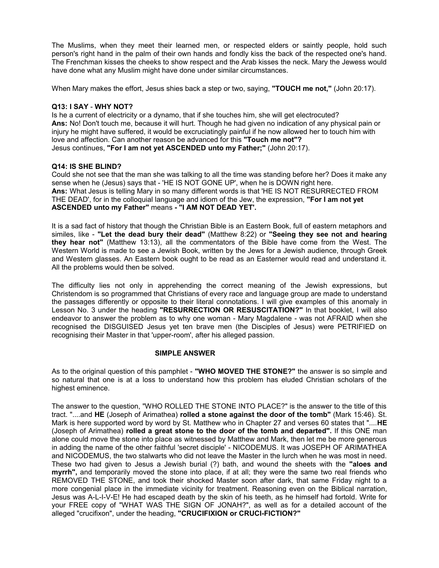The Muslims, when they meet their learned men, or respected elders or saintly people, hold such person's right hand in the palm of their own hands and fondly kiss the back of the respected one's hand. The Frenchman kisses the cheeks to show respect and the Arab kisses the neck. Mary the Jewess would have done what any Muslim might have done under similar circumstances.

When Mary makes the effort, Jesus shies back a step or two, saying, **"TOUCH me not,"** (John 20:17).

## **Q13: I SAY** - **WHY NOT?**

Is he a current of electricity or a dynamo, that if she touches him, she will get electrocuted? **Ans:** No! Don't touch me, because it will hurt. Though he had given no indication of any physical pain or injury he might have suffered, it would be excruciatingly painful if he now allowed her to touch him with love and affection. Can another reason be advanced for this **"Touch me not"?** Jesus continues, **"For I am not yet ASCENDED unto my Father;"** (John 20:17).

## **Q14: IS SHE BLIND?**

Could she not see that the man she was talking to all the time was standing before her? Does it make any sense when he (Jesus) says that - 'HE IS NOT GONE UP', when he is DOWN right here. **Ans:** What Jesus is telling Mary in so many different words is that 'HE IS NOT RESURRECTED FROM THE DEAD', for in the colloquial language and idiom of the Jew, the expression, **"For I am not yet ASCENDED unto my Father"** means **- "I AM NOT DEAD YET'.**

It is a sad fact of history that though the Christian Bible is an Eastern Book, full of eastern metaphors and similes, like - **"Let the dead bury their dead"** (Matthew 8:22) or **"Seeing they see not and hearing they hear not"** (Matthew 13:13), all the commentators of the Bible have come from the West. The Western World is made to see a Jewish Book, written by the Jews for a Jewish audience, through Greek and Western glasses. An Eastern book ought to be read as an Easterner would read and understand it. All the problems would then be solved.

The difficulty lies not only in apprehending the correct meaning of the Jewish expressions, but Christendom is so programmed that Christians of every race and language group are made to understand the passages differently or opposite to their literal connotations. I will give examples of this anomaly in Lesson No. 3 under the heading **"RESURRECTION OR RESUSCITATION?"** In that booklet, I will also endeavor to answer the problem as to why one woman - Mary Magdalene - was not AFRAID when she recognised the DISGUISED Jesus yet ten brave men (the Disciples of Jesus) were PETRIFIED on recognising their Master in that 'upper-room', after his alleged passion.

## **SIMPLE ANSWER**

As to the original question of this pamphlet - **"WHO MOVED THE STONE?"** the answer is so simple and so natural that one is at a loss to understand how this problem has eluded Christian scholars of the highest eminence.

The answer to the question, "WHO ROLLED THE STONE INTO PLACE?" is the answer to the title of this tract. "....and **HE** (Joseph of Arimathea) **rolled a stone against the door of the tomb"** (Mark 15:46). St. Mark is here supported word by word by St. Matthew who in Chapter 27 and verses 60 states that "....**HE** (Joseph of Arimathea) **rolled a great stone to the door of the tomb and departed".** If this ONE man alone could move the stone into place as witnessed by Matthew and Mark, then let me be more generous in adding the name of the other faithful 'secret disciple' - NICODEMUS. It was JOSEPH OF ARIMATHEA and NICODEMUS, the two stalwarts who did not leave the Master in the lurch when he was most in need. These two had given to Jesus a Jewish burial (?) bath, and wound the sheets with the **"aloes and myrrh",** and temporarily moved the stone into place, if at all; they were the same two real friends who REMOVED THE STONE, and took their shocked Master soon after dark, that same Friday night to a more congenial place in the immediate vicinity for treatment. Reasoning even on the Biblical narration, Jesus was A-L-I-V-E! He had escaped death by the skin of his teeth, as he himself had fortold. Write for your FREE copy of "WHAT WAS THE SIGN OF JONAH?", as well as for a detailed account of the alleged "crucifixon", under the heading, **"CRUCIFIXION or CRUCI-FICTION?"**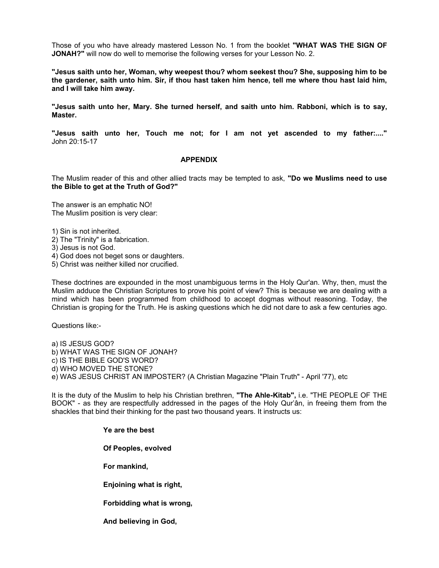Those of you who have already mastered Lesson No. 1 from the booklet **"WHAT WAS THE SIGN OF JONAH?"** will now do well to memorise the following verses for your Lesson No. 2.

**"Jesus saith unto her, Woman, why weepest thou? whom seekest thou? She, supposing him to be** the gardener, saith unto him. Sir, if thou hast taken him hence, tell me where thou hast laid him, **and I will take him away.**

**"Jesus saith unto her, Mary. She turned herself, and saith unto him. Rabboni, which is to say, Master.**

**"Jesus saith unto her, Touch me not; for I am not yet ascended to my father:...."** John 20:15-17

#### **APPENDIX**

The Muslim reader of this and other allied tracts may be tempted to ask, **"Do we Muslims need to use the Bible to get at the Truth of God?"**

The answer is an emphatic NO! The Muslim position is very clear:

1) Sin is not inherited.

2) The "Trinity" is a fabrication.

3) Jesus is not God.

4) God does not beget sons or daughters.

5) Christ was neither killed nor crucified.

These doctrines are expounded in the most unambiguous terms in the Holy Qur'an. Why, then, must the Muslim adduce the Christian Scriptures to prove his point of view? This is because we are dealing with a mind which has been programmed from childhood to accept dogmas without reasoning. Today, the Christian is groping for the Truth. He is asking questions which he did not dare to ask a few centuries ago.

Questions like:-

a) IS JESUS GOD? b) WHAT WAS THE SIGN OF JONAH? c) IS THE BIBLE GOD'S WORD? d) WHO MOVED THE STONE? e) WAS JESUS CHRIST AN IMPOSTER? (A Christian Magazine "Plain Truth" - April '77), etc

It is the duty of the Muslim to help his Christian brethren, **"The Ahle-Kitab",** i.e. "THE PEOPLE OF THE BOOK" - as they are respectfully addressed in the pages of the Holy Qur'ân, in freeing them from the shackles that bind their thinking for the past two thousand years. It instructs us:

> **Ye are the best Of Peoples, evolved For mankind, Enjoining what is right, Forbidding what is wrong,**

**And believing in God,**